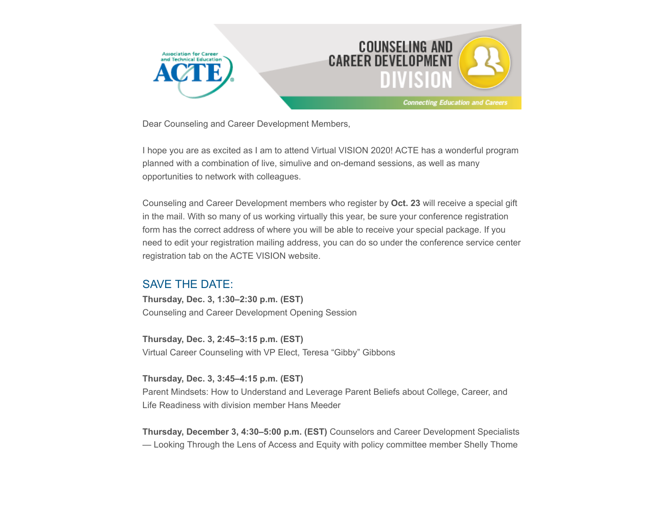

Dear Counseling and Career Development Members,

I hope you are as excited as I am to attend Virtual VISION 2020! ACTE has a wonderful program planned with a combination of live, simulive and on-demand sessions, as well as many opportunities to network with colleagues.

Counseling and Career Development members who register by **Oct. 23** will receive a special gift in the mail. With so many of us working virtually this year, be sure your conference registration form has the correct address of where you will be able to receive your special package. If you need to edit your registration mailing address, you can do so under the conference service center registration tab on the ACTE VISION website.

### SAVE THE DATE:

**Thursday, Dec. 3, 1:30–2:30 p.m. (EST)** Counseling and Career Development Opening Session

**Thursday, Dec. 3, 2:45–3:15 p.m. (EST)** Virtual Career Counseling with VP Elect, Teresa "Gibby" Gibbons

**Thursday, Dec. 3, 3:45–4:15 p.m. (EST)**

Parent Mindsets: How to Understand and Leverage Parent Beliefs about College, Career, and Life Readiness with division member Hans Meeder

**Thursday, December 3, 4:30–5:00 p.m. (EST)** Counselors and Career Development Specialists — Looking Through the Lens of Access and Equity with policy committee member Shelly Thome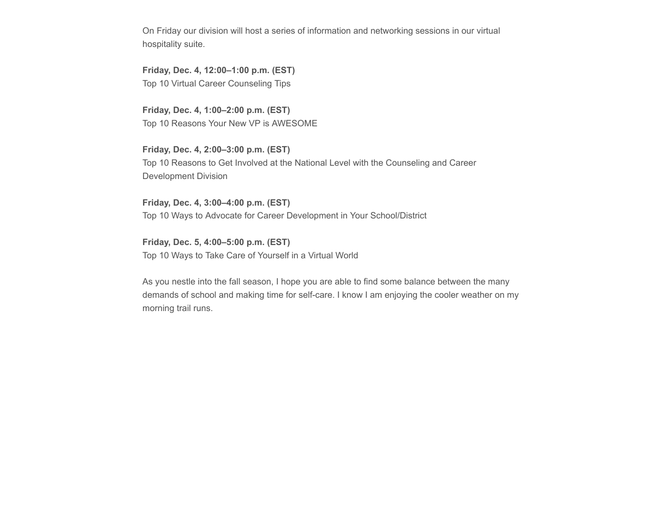On Friday our division will host a series of information and networking sessions in our virtual hospitality suite.

**Friday, Dec. 4, 12:00–1:00 p.m. (EST)** Top 10 Virtual Career Counseling Tips

**Friday, Dec. 4, 1:00–2:00 p.m. (EST)** Top 10 Reasons Your New VP is AWESOME

**Friday, Dec. 4, 2:00–3:00 p.m. (EST)** Top 10 Reasons to Get Involved at the National Level with the Counseling and Career Development Division

**Friday, Dec. 4, 3:00–4:00 p.m. (EST)** Top 10 Ways to Advocate for Career Development in Your School/District

**Friday, Dec. 5, 4:00–5:00 p.m. (EST)** Top 10 Ways to Take Care of Yourself in a Virtual World

As you nestle into the fall season, I hope you are able to find some balance between the many demands of school and making time for self-care. I know I am enjoying the cooler weather on my morning trail runs.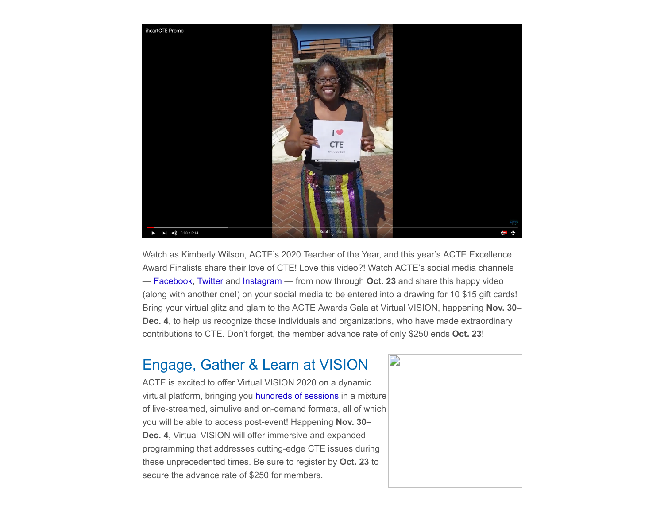

Watch as Kimberly Wilson, ACTE's 2020 Teacher of the Year, and this year's ACTE Excellence Award Finalists share their love of CTE! Love this video?! Watch ACTE's social media channels — [Facebook](https://www.facebook.com/actecareertech), [Twitter](https://twitter.com/actecareertech) and [Instagram](https://www.instagram.com/actecareertech1/) — from now through **Oct. 23** and share this happy video (along with another one!) on your social media to be entered into a drawing for 10 \$15 gift cards! Bring your virtual glitz and glam to the ACTE Awards Gala at Virtual VISION, happening **Nov. 30– Dec. 4**, to help us recognize those individuals and organizations, who have made extraordinary contributions to CTE. Don't forget, the member advance rate of only \$250 ends **Oct. 23**!

### Engage, Gather & Learn at VISION

ACTE is excited to offer Virtual VISION 2020 on a dynamic virtual platform, bringing you [hundreds of sessions](https://www.careertechvision.com/program_schedule.cfm) in a mixture of live-streamed, simulive and on-demand formats, all of which you will be able to access post-event! Happening **Nov. 30– Dec. 4**, Virtual VISION will offer immersive and expanded programming that addresses cutting-edge CTE issues during these unprecedented times. Be sure to register by **Oct. 23** to secure the advance rate of \$250 for members.

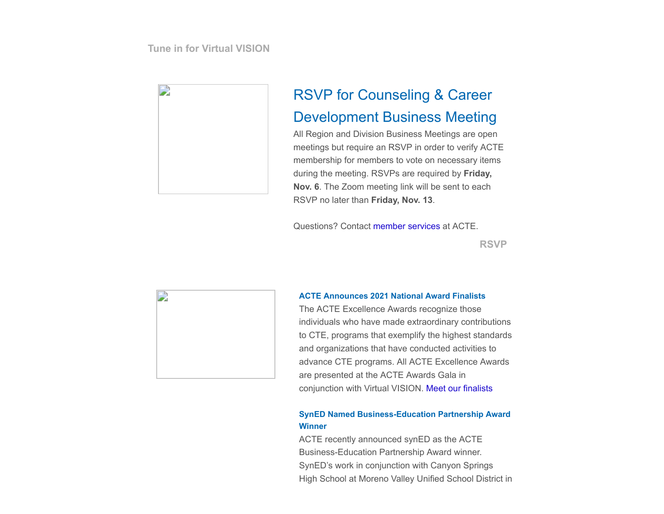**[Tune in for Virtual VISION](https://www.careertechvision.com/index.cfm)**



# RSVP for Counseling & Career Development Business Meeting

All Region and Division Business Meetings are open meetings but require an RSVP in order to verify ACTE membership for members to vote on necessary items during the meeting. RSVPs are required by **Friday, Nov. 6**. The Zoom meeting link will be sent to each RSVP no later than **Friday, Nov. 13**.

Questions? Contact [member services](mailto:memberservices@acteonline.org?subject=re%3A%20Business%20Meetings) at ACTE.

**[RSVP](https://us02web.zoom.us/meeting/register/tZwod-ytrDkuGdQakFYFC-6RXf_YGokg2Wk7)**



#### **ACTE Announces 2021 National Award Finalists**

The ACTE Excellence Awards recognize those individuals who have made extraordinary contributions to CTE, programs that exemplify the highest standards and organizations that have conducted activities to advance CTE programs. All ACTE Excellence Awards are presented at the ACTE Awards Gala in conjunction with Virtual VISION. [Meet our finalists](https://www.acteonline.org/professional-development/acte-awards/acte-excellence-awards/)

#### **SynED Named Business-Education Partnership Award Winner**

ACTE recently announced synED as the ACTE Business-Education Partnership Award winner. SynED's work in conjunction with Canyon Springs High School at Moreno Valley Unified School District in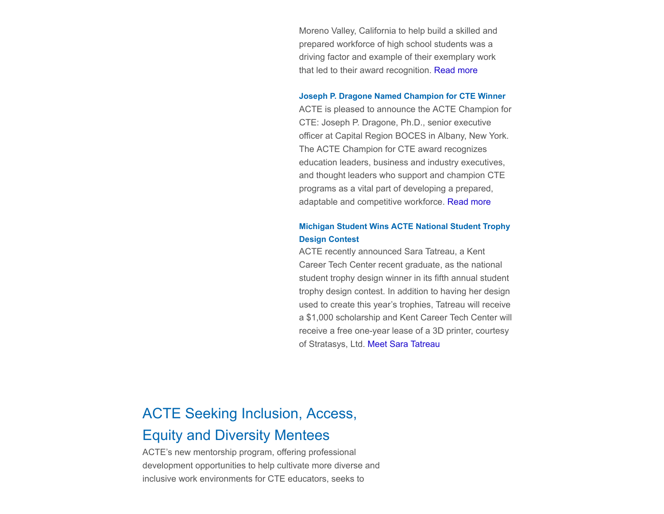Moreno Valley, California to help build a skilled and prepared workforce of high school students was a driving factor and example of their exemplary work that led to their award recognition. [Read more](https://www.acteonline.org/press-releases/syned-named-acte-business-education-partnership-award-winner/)

#### **Joseph P. Dragone Named Champion for CTE Winner**

ACTE is pleased to announce the ACTE Champion for CTE: Joseph P. Dragone, Ph.D., senior executive officer at Capital Region BOCES in Albany, New York. The ACTE Champion for CTE award recognizes education leaders, business and industry executives, and thought leaders who support and champion CTE programs as a vital part of developing a prepared, adaptable and competitive workforce. [Read more](https://www.acteonline.org/press-releases/joseph-p-dragone-ph-d-named-acte-champion-for-cte/)

#### **Michigan Student Wins ACTE National Student Trophy Design Contest**

ACTE recently announced Sara Tatreau, a Kent Career Tech Center recent graduate, as the national student trophy design winner in its fifth annual student trophy design contest. In addition to having her design used to create this year's trophies, Tatreau will receive a \$1,000 scholarship and Kent Career Tech Center will receive a free one-year lease of a 3D printer, courtesy of Stratasys, Ltd. [Meet Sara Tatreau](https://www.acteonline.org/press-releases/michigan-student-wins-acte-national-student-trophy-design-contest/)

## ACTE Seeking Inclusion, Access,

### Equity and Diversity Mentees

ACTE's new mentorship program, offering professional development opportunities to help cultivate more diverse and inclusive work environments for CTE educators, seeks to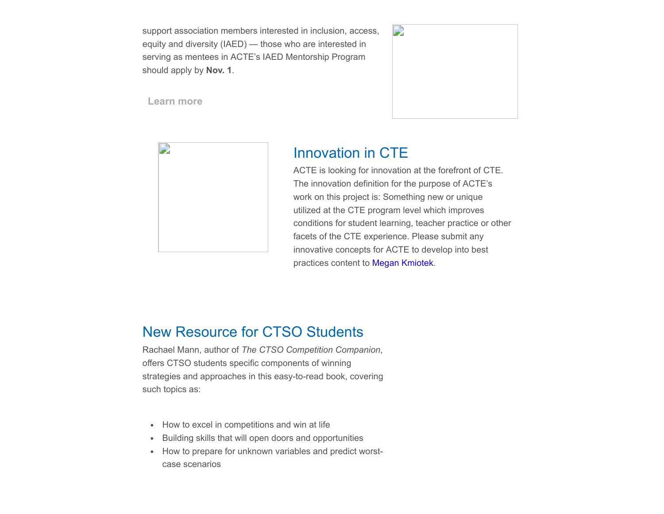support association members interested in inclusion, access, equity and diversity (IAED) — those who are interested in serving as mentees in ACTE's IAED Mentorship Program should apply by **Nov. 1**.



**[Learn more](https://www.acteonline.org/iaed-mentorship-program/)**



## Innovation in CTE

ACTE is looking for innovation at the forefront of CTE. The innovation definition for the purpose of ACTE's work on this project is: Something new or unique utilized at the CTE program level which improves conditions for student learning, teacher practice or other facets of the CTE experience. Please submit any innovative concepts for ACTE to develop into best practices content to [Megan Kmiotek.](mailto:mkmiotek@acteonline.org?subject=Innovation%20in%20CTE)

## New Resource for CTSO Students

Rachael Mann, author of *The CTSO Competition Companion*, offers CTSO students specific components of winning strategies and approaches in this easy-to-read book, covering such topics as:

- How to excel in competitions and win at life
- Building skills that will open doors and opportunities
- How to prepare for unknown variables and predict worstcase scenarios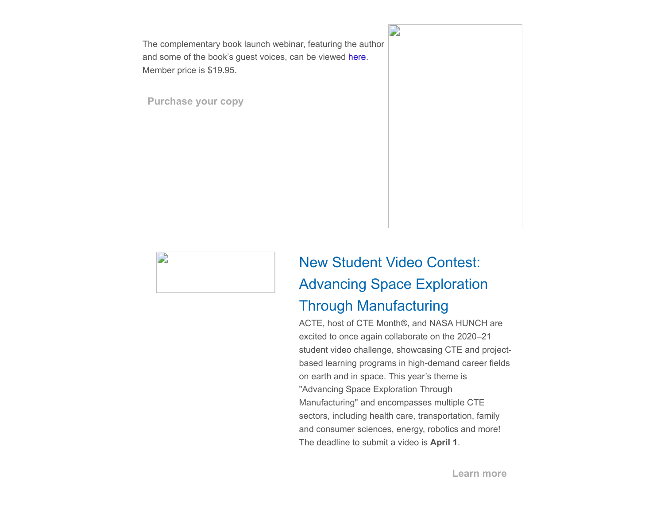The complementary book launch webinar, featuring the author and some of the book's guest voices, can be viewed [here](https://www.youtube.com/watch?v=Yd_a2Bv7yZg&feature=youtu.be). Member price is \$19.95.

**[Purchase your copy](https://www.acteonline.org/publications/shopacte/)**





# New Student Video Contest: Advancing Space Exploration Through Manufacturing

ACTE, host of CTE Month®, and NASA HUNCH are excited to once again collaborate on the 2020–21 student video challenge, showcasing CTE and projectbased learning programs in high-demand career fields on earth and in space. This year's theme is "Advancing Space Exploration Through Manufacturing" and encompasses multiple CTE sectors, including health care, transportation, family and consumer sciences, energy, robotics and more! The deadline to submit a video is **April 1**.